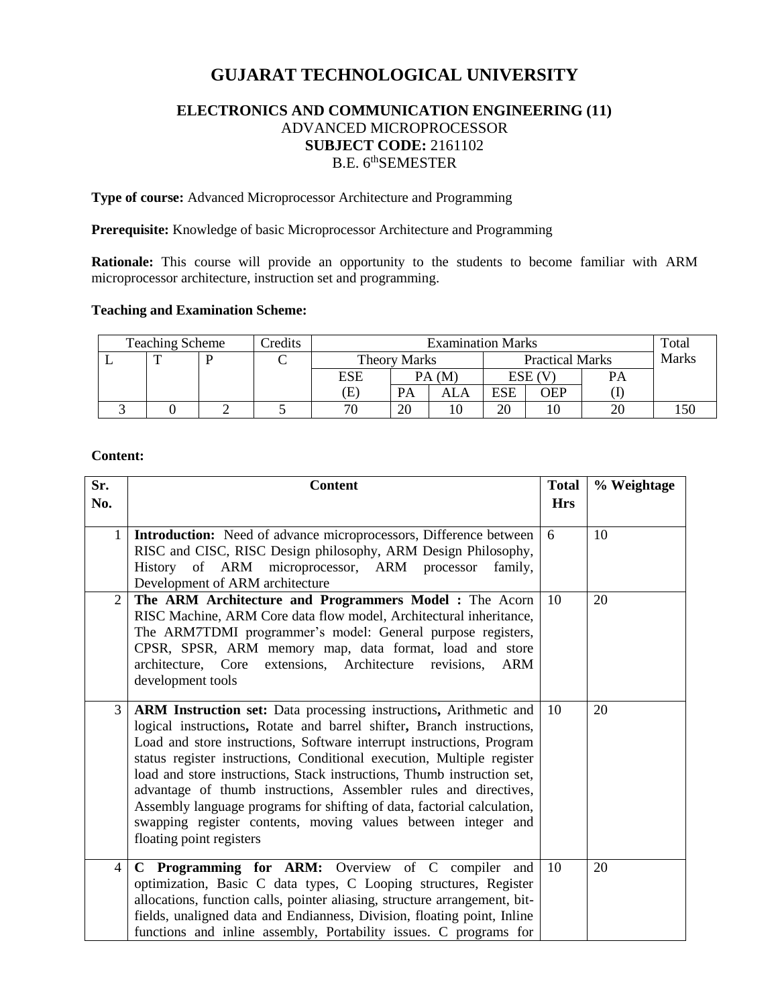# **GUJARAT TECHNOLOGICAL UNIVERSITY**

## **ELECTRONICS AND COMMUNICATION ENGINEERING (11)** ADVANCED MICROPROCESSOR **SUBJECT CODE:** 2161102 B.E. 6<sup>th</sup>SEMESTER

**Type of course:** Advanced Microprocessor Architecture and Programming

**Prerequisite:** Knowledge of basic Microprocessor Architecture and Programming

**Rationale:** This course will provide an opportunity to the students to become familiar with ARM microprocessor architecture, instruction set and programming.

### **Teaching and Examination Scheme:**

| <b>Teaching Scheme</b> |   |  | Credits | <b>Examination Marks</b> |       |                        |        |     | Total        |  |
|------------------------|---|--|---------|--------------------------|-------|------------------------|--------|-----|--------------|--|
|                        | ௱ |  |         | <b>Theory Marks</b>      |       | <b>Practical Marks</b> |        |     | <b>Marks</b> |  |
|                        |   |  |         | ESE                      | PA(M) |                        | ESE (V |     | PA           |  |
|                        |   |  |         | Έì                       | PА    | ALA                    | ESE    | OEP |              |  |
|                        |   |  |         | 70                       | 20    |                        | 20     |     | 20           |  |

### **Content:**

| Sr.            | <b>Content</b>                                                                                                                                                                                                                                                                                                                                                                                                                                                                                                                                                                                                       | <b>Total</b> | % Weightage |
|----------------|----------------------------------------------------------------------------------------------------------------------------------------------------------------------------------------------------------------------------------------------------------------------------------------------------------------------------------------------------------------------------------------------------------------------------------------------------------------------------------------------------------------------------------------------------------------------------------------------------------------------|--------------|-------------|
| No.            |                                                                                                                                                                                                                                                                                                                                                                                                                                                                                                                                                                                                                      | <b>Hrs</b>   |             |
| $\mathbf{1}$   | Introduction: Need of advance microprocessors, Difference between<br>RISC and CISC, RISC Design philosophy, ARM Design Philosophy,<br>History of ARM microprocessor, ARM processor<br>family,<br>Development of ARM architecture                                                                                                                                                                                                                                                                                                                                                                                     | 6            | 10          |
| $\overline{2}$ | The ARM Architecture and Programmers Model : The Acorn<br>RISC Machine, ARM Core data flow model, Architectural inheritance,<br>The ARM7TDMI programmer's model: General purpose registers,<br>CPSR, SPSR, ARM memory map, data format, load and store<br>extensions, Architecture revisions,<br>architecture, Core<br>ARM<br>development tools                                                                                                                                                                                                                                                                      | 10           | 20          |
| 3              | ARM Instruction set: Data processing instructions, Arithmetic and<br>logical instructions, Rotate and barrel shifter, Branch instructions,<br>Load and store instructions, Software interrupt instructions, Program<br>status register instructions, Conditional execution, Multiple register<br>load and store instructions, Stack instructions, Thumb instruction set,<br>advantage of thumb instructions, Assembler rules and directives,<br>Assembly language programs for shifting of data, factorial calculation,<br>swapping register contents, moving values between integer and<br>floating point registers | 10           | 20          |
| 4              | C Programming for ARM: Overview of C compiler and<br>optimization, Basic C data types, C Looping structures, Register<br>allocations, function calls, pointer aliasing, structure arrangement, bit-<br>fields, unaligned data and Endianness, Division, floating point, Inline<br>functions and inline assembly, Portability issues. C programs for                                                                                                                                                                                                                                                                  | 10           | 20          |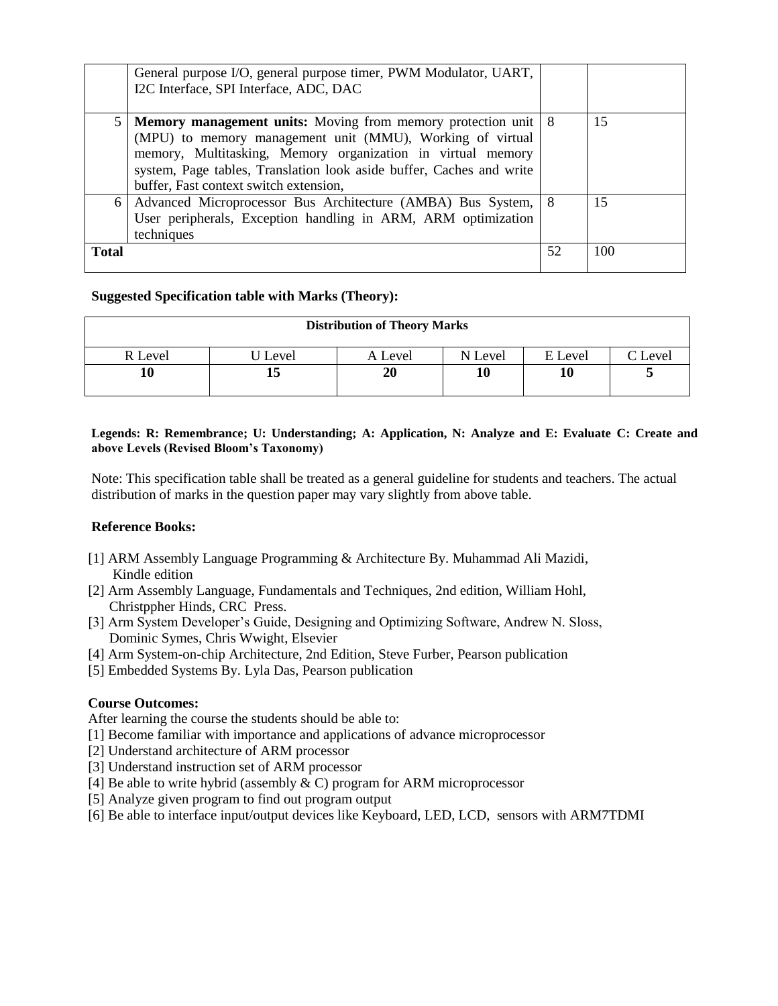|              | General purpose I/O, general purpose timer, PWM Modulator, UART,<br>I2C Interface, SPI Interface, ADC, DAC                                                                                                                                                                                                    |    |     |
|--------------|---------------------------------------------------------------------------------------------------------------------------------------------------------------------------------------------------------------------------------------------------------------------------------------------------------------|----|-----|
|              | Memory management units: Moving from memory protection unit   8<br>(MPU) to memory management unit (MMU), Working of virtual<br>memory, Multitasking, Memory organization in virtual memory<br>system, Page tables, Translation look aside buffer, Caches and write<br>buffer, Fast context switch extension, |    | 15  |
|              | 6   Advanced Microprocessor Bus Architecture (AMBA) Bus System,   8<br>User peripherals, Exception handling in ARM, ARM optimization<br>techniques                                                                                                                                                            |    | 15  |
| <b>Total</b> |                                                                                                                                                                                                                                                                                                               | 52 | 100 |

### **Suggested Specification table with Marks (Theory):**

| <b>Distribution of Theory Marks</b> |       |         |         |         |                 |  |  |
|-------------------------------------|-------|---------|---------|---------|-----------------|--|--|
| R Level                             | Level | A Level | N Level | E Level | $\degree$ Level |  |  |
|                                     | 13    | 20      |         | 10      | ັ               |  |  |

#### **Legends: R: Remembrance; U: Understanding; A: Application, N: Analyze and E: Evaluate C: Create and above Levels (Revised Bloom's Taxonomy)**

Note: This specification table shall be treated as a general guideline for students and teachers. The actual distribution of marks in the question paper may vary slightly from above table.

### **Reference Books:**

- [1] ARM Assembly Language Programming & Architecture By. [Muhammad Ali Mazidi,](http://www.amazon.com/s/ref=dp_byline_sr_ebooks_1?ie=UTF8&text=Muhammad+Ali+Mazidi&search-alias=digital-text&field-author=Muhammad+Ali+Mazidi&sort=relevancerank) Kindle edition
- [2] Arm Assembly Language, Fundamentals and Techniques, 2nd edition, William Hohl, Christppher Hinds, CRC Press.
- [3] Arm System Developer's Guide, Designing and Optimizing Software, Andrew N. Sloss, Dominic Symes, Chris Wwight, Elsevier
- [4] Arm System-on-chip Architecture, 2nd Edition, Steve Furber, Pearson publication
- [5] Embedded Systems By. Lyla Das, Pearson publication

### **Course Outcomes:**

After learning the course the students should be able to:

- [1] Become familiar with importance and applications of advance microprocessor
- [2] Understand architecture of ARM processor
- [3] Understand instruction set of ARM processor
- [4] Be able to write hybrid (assembly  $\& C$ ) program for ARM microprocessor
- [5] Analyze given program to find out program output
- [6] Be able to interface input/output devices like Keyboard, LED, LCD, sensors with ARM7TDMI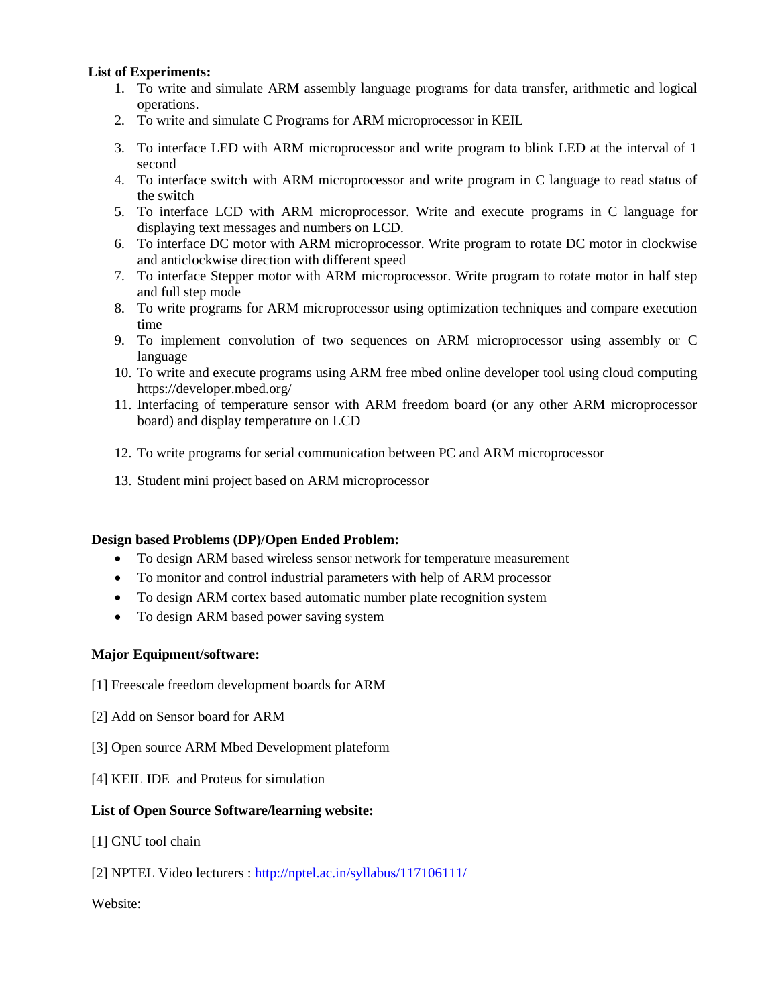### **List of Experiments:**

- 1. To write and simulate ARM assembly language programs for data transfer, arithmetic and logical operations.
- 2. To write and simulate C Programs for ARM microprocessor in KEIL
- 3. To interface LED with ARM microprocessor and write program to blink LED at the interval of 1 second
- 4. To interface switch with ARM microprocessor and write program in C language to read status of the switch
- 5. To interface LCD with ARM microprocessor. Write and execute programs in C language for displaying text messages and numbers on LCD.
- 6. To interface DC motor with ARM microprocessor. Write program to rotate DC motor in clockwise and anticlockwise direction with different speed
- 7. To interface Stepper motor with ARM microprocessor. Write program to rotate motor in half step and full step mode
- 8. To write programs for ARM microprocessor using optimization techniques and compare execution time
- 9. To implement convolution of two sequences on ARM microprocessor using assembly or C language
- 10. To write and execute programs using ARM free mbed online developer tool using cloud computing https://developer.mbed.org/
- 11. Interfacing of temperature sensor with ARM freedom board (or any other ARM microprocessor board) and display temperature on LCD
- 12. To write programs for serial communication between PC and ARM microprocessor
- 13. Student mini project based on ARM microprocessor

### **Design based Problems (DP)/Open Ended Problem:**

- To design ARM based wireless sensor network for temperature measurement
- To monitor and control industrial parameters with help of ARM processor
- To design ARM cortex based automatic number plate recognition system
- To design ARM based power saving system

### **Major Equipment/software:**

- [1] Freescale freedom development boards for ARM
- [2] Add on Sensor board for ARM
- [3] Open source ARM Mbed Development plateform
- [4] KEIL IDE and Proteus for simulation

### **List of Open Source Software/learning website:**

- [1] GNU tool chain
- [2] NPTEL Video lecturers :<http://nptel.ac.in/syllabus/117106111/>

### Website: